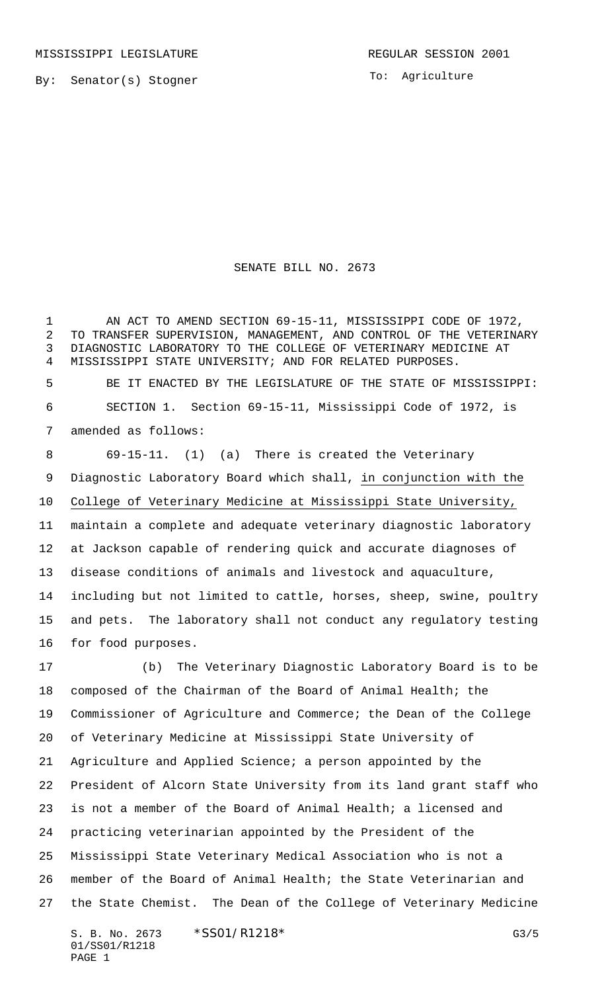To: Agriculture

## SENATE BILL NO. 2673

1 AN ACT TO AMEND SECTION 69-15-11, MISSISSIPPI CODE OF 1972, TO TRANSFER SUPERVISION, MANAGEMENT, AND CONTROL OF THE VETERINARY DIAGNOSTIC LABORATORY TO THE COLLEGE OF VETERINARY MEDICINE AT MISSISSIPPI STATE UNIVERSITY; AND FOR RELATED PURPOSES. BE IT ENACTED BY THE LEGISLATURE OF THE STATE OF MISSISSIPPI: SECTION 1. Section 69-15-11, Mississippi Code of 1972, is amended as follows: 69-15-11. (1) (a) There is created the Veterinary Diagnostic Laboratory Board which shall, in conjunction with the College of Veterinary Medicine at Mississippi State University, maintain a complete and adequate veterinary diagnostic laboratory at Jackson capable of rendering quick and accurate diagnoses of disease conditions of animals and livestock and aquaculture, including but not limited to cattle, horses, sheep, swine, poultry and pets. The laboratory shall not conduct any regulatory testing for food purposes. (b) The Veterinary Diagnostic Laboratory Board is to be composed of the Chairman of the Board of Animal Health; the Commissioner of Agriculture and Commerce; the Dean of the College of Veterinary Medicine at Mississippi State University of Agriculture and Applied Science; a person appointed by the

 President of Alcorn State University from its land grant staff who is not a member of the Board of Animal Health; a licensed and practicing veterinarian appointed by the President of the Mississippi State Veterinary Medical Association who is not a member of the Board of Animal Health; the State Veterinarian and the State Chemist. The Dean of the College of Veterinary Medicine

S. B. No. 2673 \* SSO1/R1218\* G3/5 01/SS01/R1218 PAGE 1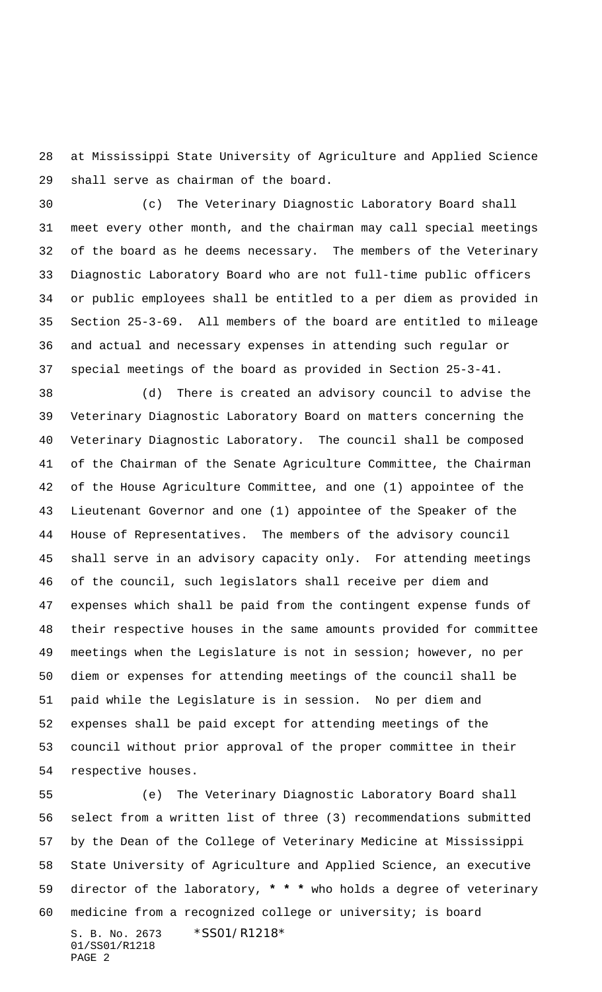at Mississippi State University of Agriculture and Applied Science shall serve as chairman of the board.

 (c) The Veterinary Diagnostic Laboratory Board shall meet every other month, and the chairman may call special meetings 32 of the board as he deems necessary. The members of the Veterinary Diagnostic Laboratory Board who are not full-time public officers or public employees shall be entitled to a per diem as provided in Section 25-3-69. All members of the board are entitled to mileage and actual and necessary expenses in attending such regular or special meetings of the board as provided in Section 25-3-41.

 (d) There is created an advisory council to advise the Veterinary Diagnostic Laboratory Board on matters concerning the Veterinary Diagnostic Laboratory. The council shall be composed of the Chairman of the Senate Agriculture Committee, the Chairman of the House Agriculture Committee, and one (1) appointee of the Lieutenant Governor and one (1) appointee of the Speaker of the House of Representatives. The members of the advisory council shall serve in an advisory capacity only. For attending meetings of the council, such legislators shall receive per diem and expenses which shall be paid from the contingent expense funds of their respective houses in the same amounts provided for committee meetings when the Legislature is not in session; however, no per diem or expenses for attending meetings of the council shall be paid while the Legislature is in session. No per diem and expenses shall be paid except for attending meetings of the council without prior approval of the proper committee in their respective houses.

S. B. No. 2673 \*SS01/R1218\* 01/SS01/R1218 PAGE 2 (e) The Veterinary Diagnostic Laboratory Board shall select from a written list of three (3) recommendations submitted by the Dean of the College of Veterinary Medicine at Mississippi State University of Agriculture and Applied Science, an executive director of the laboratory, **\* \* \*** who holds a degree of veterinary medicine from a recognized college or university; is board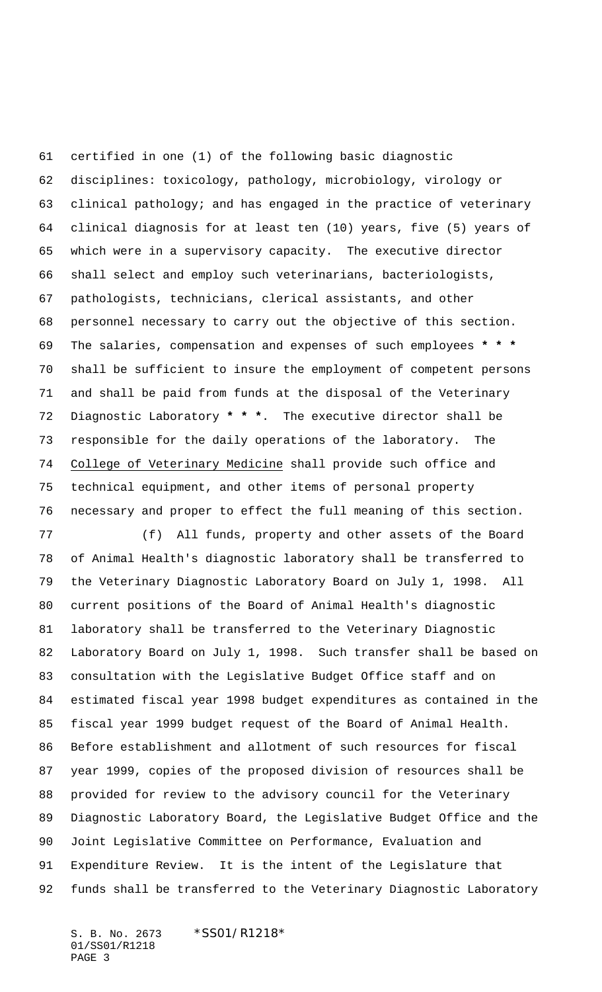certified in one (1) of the following basic diagnostic disciplines: toxicology, pathology, microbiology, virology or clinical pathology; and has engaged in the practice of veterinary clinical diagnosis for at least ten (10) years, five (5) years of which were in a supervisory capacity. The executive director shall select and employ such veterinarians, bacteriologists, pathologists, technicians, clerical assistants, and other personnel necessary to carry out the objective of this section. The salaries, compensation and expenses of such employees **\* \* \*** shall be sufficient to insure the employment of competent persons and shall be paid from funds at the disposal of the Veterinary Diagnostic Laboratory **\* \* \***. The executive director shall be responsible for the daily operations of the laboratory. The College of Veterinary Medicine shall provide such office and technical equipment, and other items of personal property necessary and proper to effect the full meaning of this section.

 (f) All funds, property and other assets of the Board of Animal Health's diagnostic laboratory shall be transferred to the Veterinary Diagnostic Laboratory Board on July 1, 1998. All current positions of the Board of Animal Health's diagnostic laboratory shall be transferred to the Veterinary Diagnostic Laboratory Board on July 1, 1998. Such transfer shall be based on consultation with the Legislative Budget Office staff and on estimated fiscal year 1998 budget expenditures as contained in the fiscal year 1999 budget request of the Board of Animal Health. Before establishment and allotment of such resources for fiscal year 1999, copies of the proposed division of resources shall be provided for review to the advisory council for the Veterinary Diagnostic Laboratory Board, the Legislative Budget Office and the Joint Legislative Committee on Performance, Evaluation and Expenditure Review. It is the intent of the Legislature that funds shall be transferred to the Veterinary Diagnostic Laboratory

S. B. No. 2673 \*SS01/R1218\* 01/SS01/R1218 PAGE 3